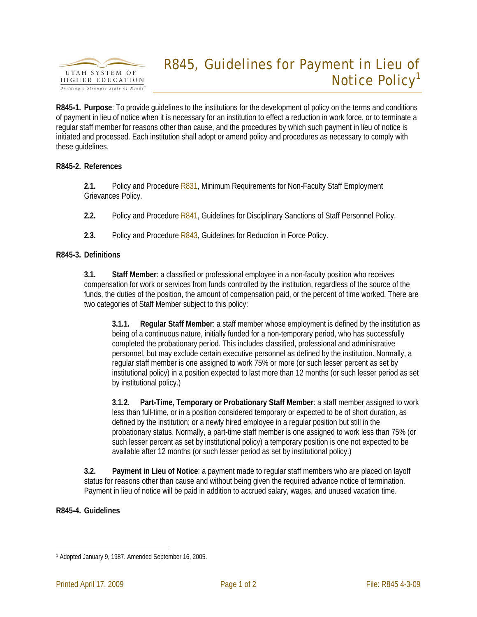

# R845, Guidelines for Payment in Lieu of Notice Policy<sup>1</sup>

**R845-1. Purpose**: To provide guidelines to the institutions for the development of policy on the terms and conditions of payment in lieu of notice when it is necessary for an institution to effect a reduction in work force, or to terminate a regular staff member for reasons other than cause, and the procedures by which such payment in lieu of notice is initiated and processed. Each institution shall adopt or amend policy and procedures as necessary to comply with these guidelines.

### **R845-2. References**

**2.1.** Policy and Procedure R831, Minimum Requirements for Non-Faculty Staff Employment Grievances Policy.

**2.2.** Policy and Procedure R841, Guidelines for Disciplinary Sanctions of Staff Personnel Policy.

**2.3.** Policy and Procedure R843, Guidelines for Reduction in Force Policy.

## **R845-3. Definitions**

**3.1. Staff Member**: a classified or professional employee in a non-faculty position who receives compensation for work or services from funds controlled by the institution, regardless of the source of the funds, the duties of the position, the amount of compensation paid, or the percent of time worked. There are two categories of Staff Member subject to this policy:

**3.1.1. Regular Staff Member**: a staff member whose employment is defined by the institution as being of a continuous nature, initially funded for a non-temporary period, who has successfully completed the probationary period. This includes classified, professional and administrative personnel, but may exclude certain executive personnel as defined by the institution. Normally, a regular staff member is one assigned to work 75% or more (or such lesser percent as set by institutional policy) in a position expected to last more than 12 months (or such lesser period as set by institutional policy.)

**3.1.2. Part-Time, Temporary or Probationary Staff Member**: a staff member assigned to work less than full-time, or in a position considered temporary or expected to be of short duration, as defined by the institution; or a newly hired employee in a regular position but still in the probationary status. Normally, a part-time staff member is one assigned to work less than 75% (or such lesser percent as set by institutional policy) a temporary position is one not expected to be available after 12 months (or such lesser period as set by institutional policy.)

**3.2. Payment in Lieu of Notice**: a payment made to regular staff members who are placed on layoff status for reasons other than cause and without being given the required advance notice of termination. Payment in lieu of notice will be paid in addition to accrued salary, wages, and unused vacation time.

### **R845-4. Guidelines**

 $\overline{a}$ 1 Adopted January 9, 1987. Amended September 16, 2005.